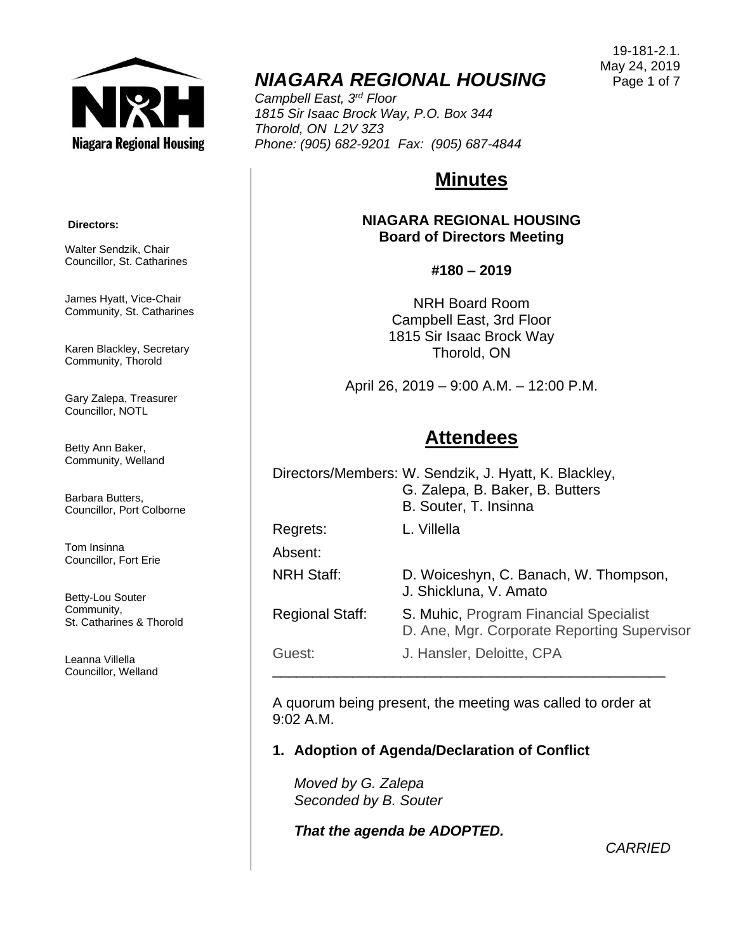

## *NIAGARA REGIONAL HOUSING*

*Campbell East, 3rd Floor 1815 Sir Isaac Brock Way, P.O. Box 344 Thorold, ON L2V 3Z3 Phone: (905) 682-9201 Fax: (905) 687-4844*

# **Minutes**

**NIAGARA REGIONAL HOUSING Board of Directors Meeting**

#### **#180 – 2019**

NRH Board Room Campbell East, 3rd Floor 1815 Sir Isaac Brock Way Thorold, ON

April 26, 2019 – 9:00 A.M. – 12:00 P.M.

### **Attendees**

|                        | Directors/Members: W. Sendzik, J. Hyatt, K. Blackley,<br>G. Zalepa, B. Baker, B. Butters<br>B. Souter, T. Insinna |
|------------------------|-------------------------------------------------------------------------------------------------------------------|
| Regrets:               | L. Villella                                                                                                       |
| Absent:                |                                                                                                                   |
| <b>NRH Staff:</b>      | D. Woiceshyn, C. Banach, W. Thompson,<br>J. Shickluna, V. Amato                                                   |
| <b>Regional Staff:</b> | S. Muhic, Program Financial Specialist<br>D. Ane, Mgr. Corporate Reporting Supervisor                             |
| Guest:                 | J. Hansler, Deloitte, CPA                                                                                         |

A quorum being present, the meeting was called to order at 9:02 A.M.

\_\_\_\_\_\_\_\_\_\_\_\_\_\_\_\_\_\_\_\_\_\_\_\_\_\_\_\_\_\_\_\_\_\_\_\_\_\_\_\_\_\_\_\_\_\_\_\_\_

### **1. Adoption of Agenda/Declaration of Conflict**

*Moved by G. Zalepa Seconded by B. Souter*

*That the agenda be ADOPTED.*

*CARRIED*

#### **Directors:**

Walter Sendzik, Chair Councillor, St. Catharines

James Hyatt, Vice-Chair Community, St. Catharines

Karen Blackley, Secretary Community, Thorold

Gary Zalepa, Treasurer Councillor, NOTL

Betty Ann Baker, Community, Welland

Barbara Butters, Councillor, Port Colborne

Tom Insinna Councillor, Fort Erie

Betty-Lou Souter Community, St. Catharines & Thorold

Leanna Villella Councillor, Welland

19-181-2.1. May 24, 2019 Page 1 of 7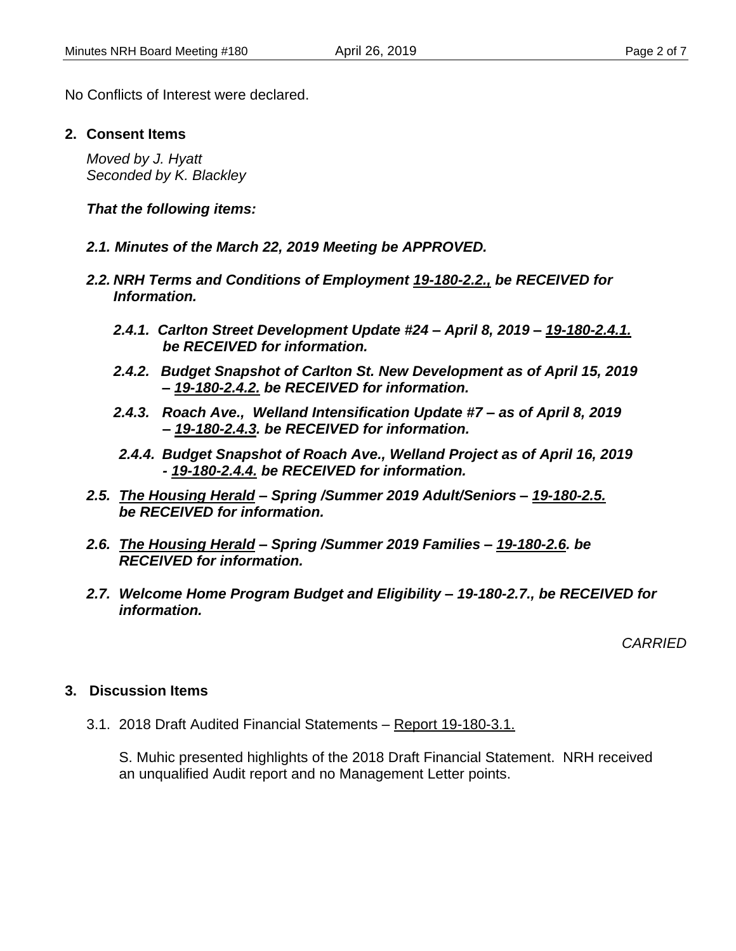No Conflicts of Interest were declared.

#### **2. Consent Items**

*Moved by J. Hyatt Seconded by K. Blackley*

*That the following items:*

- *2.1. Minutes of the March 22, 2019 Meeting be APPROVED.*
- *2.2. NRH Terms and Conditions of Employment 19-180-2.2., be RECEIVED for Information.*
	- *2.4.1. Carlton Street Development Update #24 – April 8, 2019 – 19-180-2.4.1. be RECEIVED for information.*
	- *2.4.2. Budget Snapshot of Carlton St. New Development as of April 15, 2019 – 19-180-2.4.2. be RECEIVED for information.*
	- *2.4.3. Roach Ave., Welland Intensification Update #7 – as of April 8, 2019 – 19-180-2.4.3. be RECEIVED for information.*
	- *2.4.4. Budget Snapshot of Roach Ave., Welland Project as of April 16, 2019 - 19-180-2.4.4. be RECEIVED for information.*
- *2.5. The Housing Herald – Spring /Summer 2019 Adult/Seniors – 19-180-2.5. be RECEIVED for information.*
- *2.6. The Housing Herald – Spring /Summer 2019 Families – 19-180-2.6. be RECEIVED for information.*
- *2.7. Welcome Home Program Budget and Eligibility – 19-180-2.7., be RECEIVED for information.*

*CARRIED*

#### **3. Discussion Items**

3.1. 2018 Draft Audited Financial Statements – Report 19-180-3.1.

S. Muhic presented highlights of the 2018 Draft Financial Statement. NRH received an unqualified Audit report and no Management Letter points.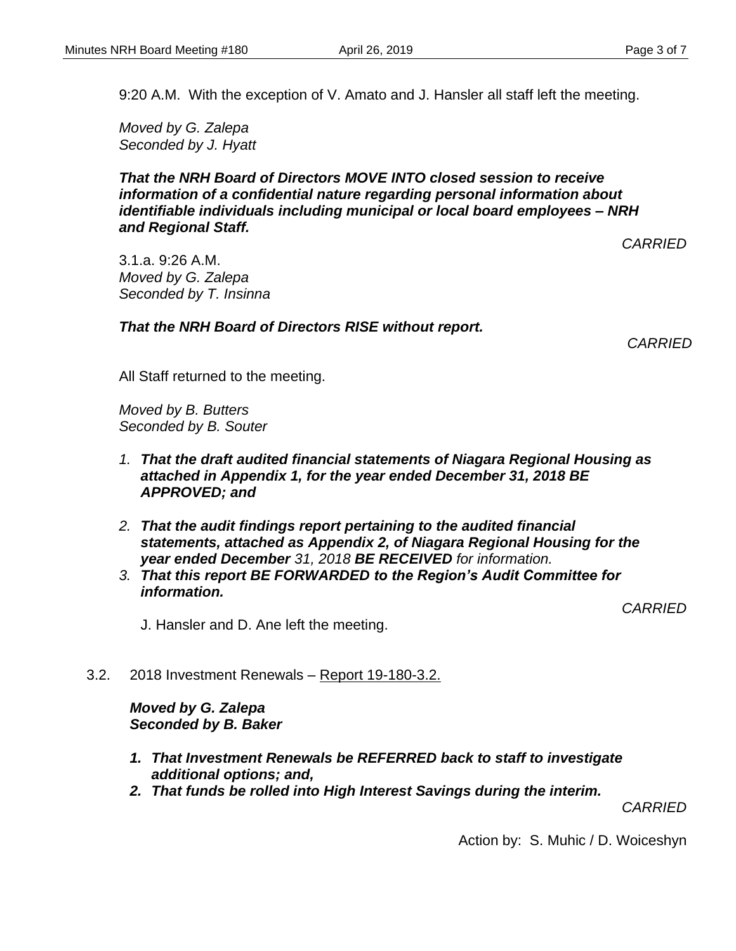9:20 A.M. With the exception of V. Amato and J. Hansler all staff left the meeting.

*Moved by G. Zalepa Seconded by J. Hyatt*

#### *That the NRH Board of Directors MOVE INTO closed session to receive information of a confidential nature regarding personal information about identifiable individuals including municipal or local board employees – NRH and Regional Staff.*

*CARRIED*

3.1.a. 9:26 A.M. *Moved by G. Zalepa Seconded by T. Insinna*

*That the NRH Board of Directors RISE without report.*

*CARRIED*

All Staff returned to the meeting.

*Moved by B. Butters Seconded by B. Souter*

- *1. That the draft audited financial statements of Niagara Regional Housing as attached in Appendix 1, for the year ended December 31, 2018 BE APPROVED; and*
- *2. That the audit findings report pertaining to the audited financial statements, attached as Appendix 2, of Niagara Regional Housing for the year ended December 31, 2018 BE RECEIVED for information.*
- *3. That this report BE FORWARDED to the Region's Audit Committee for information.*

*CARRIED*

J. Hansler and D. Ane left the meeting.

3.2. 2018 Investment Renewals – Report 19-180-3.2.

*Moved by G. Zalepa Seconded by B. Baker*

- *1. That Investment Renewals be REFERRED back to staff to investigate additional options; and,*
- *2. That funds be rolled into High Interest Savings during the interim.*

*CARRIED*

Action by: S. Muhic / D. Woiceshyn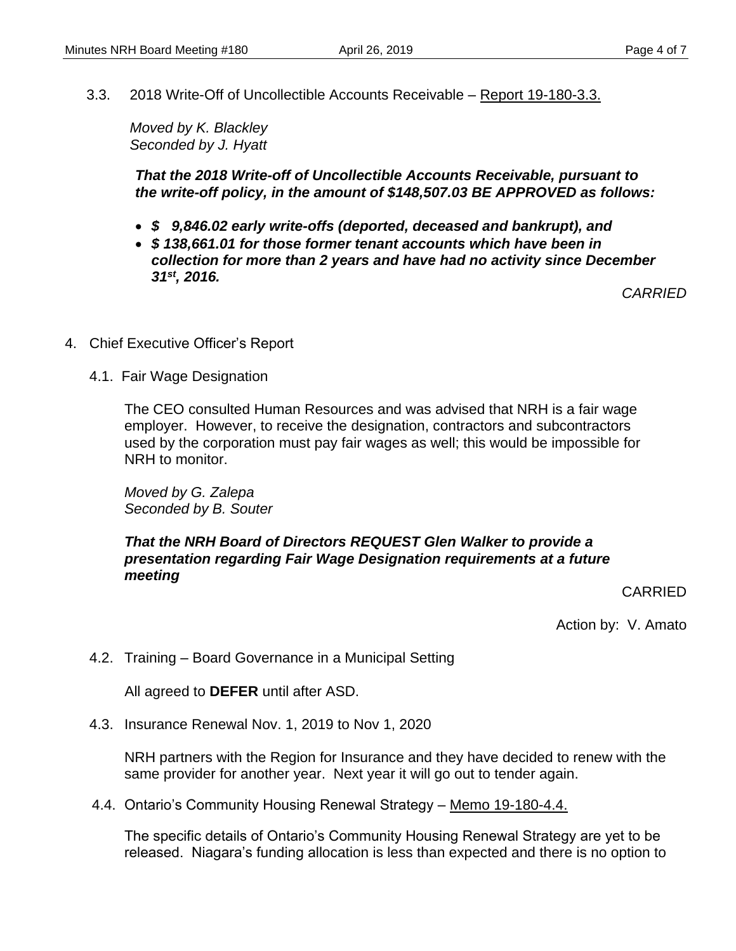3.3. 2018 Write-Off of Uncollectible Accounts Receivable – Report 19-180-3.3.

*Moved by K. Blackley Seconded by J. Hyatt*

*That the 2018 Write-off of Uncollectible Accounts Receivable, pursuant to the write-off policy, in the amount of \$148,507.03 BE APPROVED as follows:*

- *\$ 9,846.02 early write-offs (deported, deceased and bankrupt), and*
- *\$ 138,661.01 for those former tenant accounts which have been in collection for more than 2 years and have had no activity since December 31st, 2016.*

*CARRIED*

- 4. Chief Executive Officer's Report
	- 4.1. Fair Wage Designation

The CEO consulted Human Resources and was advised that NRH is a fair wage employer. However, to receive the designation, contractors and subcontractors used by the corporation must pay fair wages as well; this would be impossible for NRH to monitor.

*Moved by G. Zalepa Seconded by B. Souter*

#### *That the NRH Board of Directors REQUEST Glen Walker to provide a presentation regarding Fair Wage Designation requirements at a future meeting*

#### CARRIED

Action by: V. Amato

4.2. Training – Board Governance in a Municipal Setting

All agreed to **DEFER** until after ASD.

4.3. Insurance Renewal Nov. 1, 2019 to Nov 1, 2020

NRH partners with the Region for Insurance and they have decided to renew with the same provider for another year. Next year it will go out to tender again.

4.4. Ontario's Community Housing Renewal Strategy – Memo 19-180-4.4.

The specific details of Ontario's Community Housing Renewal Strategy are yet to be released. Niagara's funding allocation is less than expected and there is no option to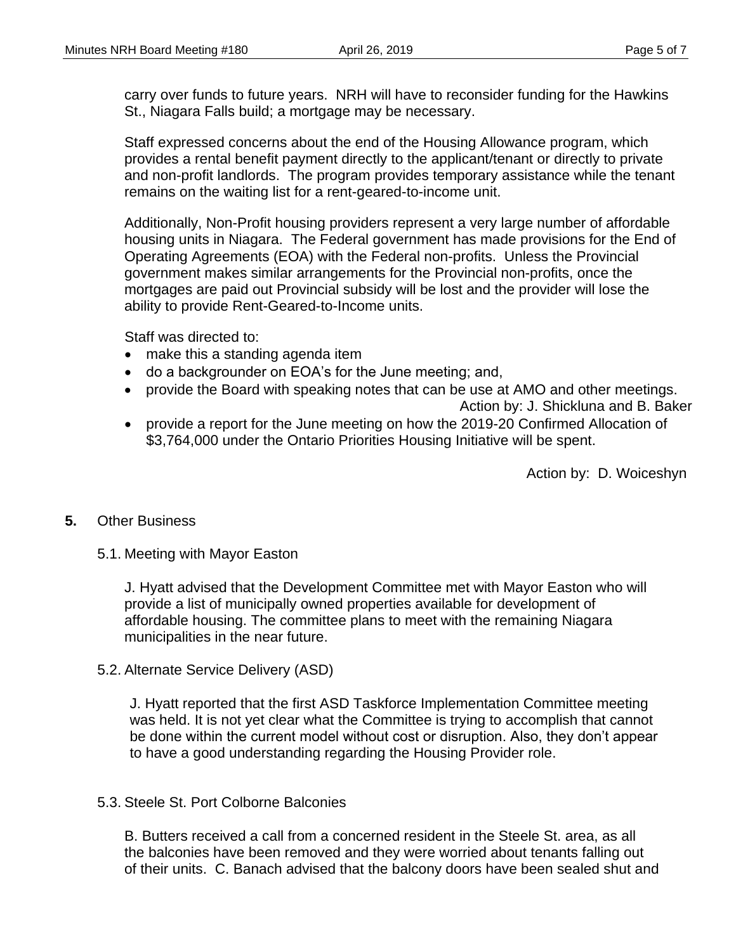carry over funds to future years. NRH will have to reconsider funding for the Hawkins St., Niagara Falls build; a mortgage may be necessary.

Staff expressed concerns about the end of the Housing Allowance program, which provides a rental benefit payment directly to the applicant/tenant or directly to private and non-profit landlords. The program provides temporary assistance while the tenant remains on the waiting list for a rent-geared-to-income unit.

Additionally, Non-Profit housing providers represent a very large number of affordable housing units in Niagara. The Federal government has made provisions for the End of Operating Agreements (EOA) with the Federal non-profits. Unless the Provincial government makes similar arrangements for the Provincial non-profits, once the mortgages are paid out Provincial subsidy will be lost and the provider will lose the ability to provide Rent-Geared-to-Income units.

Staff was directed to:

- make this a standing agenda item
- do a backgrounder on EOA's for the June meeting; and,
- provide the Board with speaking notes that can be use at AMO and other meetings.

Action by: J. Shickluna and B. Baker

 provide a report for the June meeting on how the 2019-20 Confirmed Allocation of \$3,764,000 under the Ontario Priorities Housing Initiative will be spent.

Action by: D. Woiceshyn

#### **5.** Other Business

#### 5.1. Meeting with Mayor Easton

J. Hyatt advised that the Development Committee met with Mayor Easton who will provide a list of municipally owned properties available for development of affordable housing. The committee plans to meet with the remaining Niagara municipalities in the near future.

5.2. Alternate Service Delivery (ASD)

J. Hyatt reported that the first ASD Taskforce Implementation Committee meeting was held. It is not yet clear what the Committee is trying to accomplish that cannot be done within the current model without cost or disruption. Also, they don't appear to have a good understanding regarding the Housing Provider role.

#### 5.3. Steele St. Port Colborne Balconies

B. Butters received a call from a concerned resident in the Steele St. area, as all the balconies have been removed and they were worried about tenants falling out of their units. C. Banach advised that the balcony doors have been sealed shut and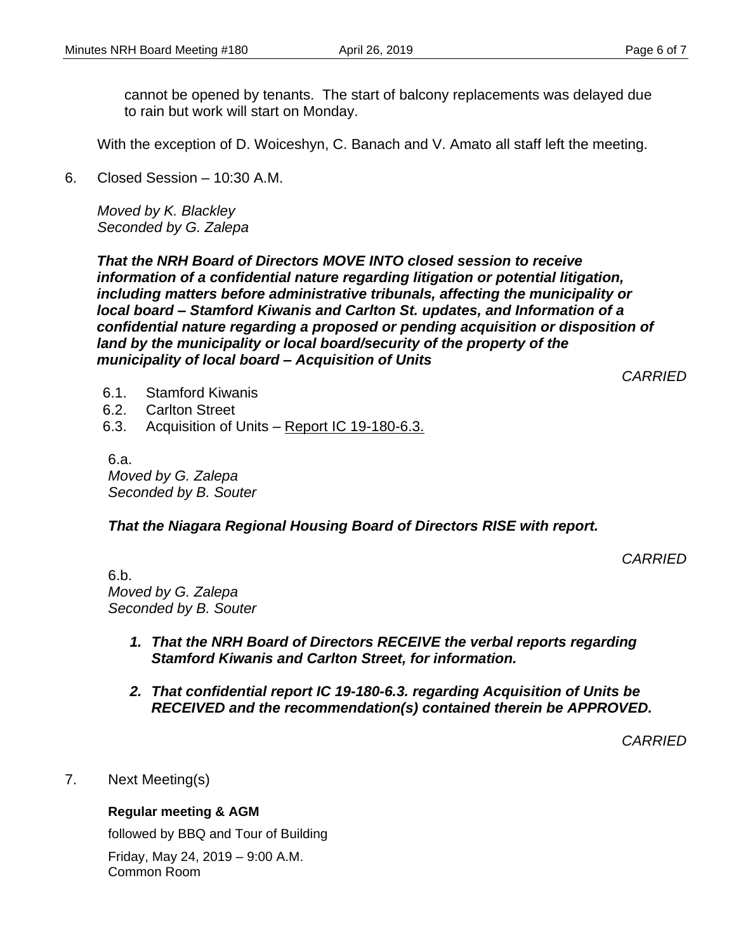cannot be opened by tenants. The start of balcony replacements was delayed due to rain but work will start on Monday.

With the exception of D. Woiceshyn, C. Banach and V. Amato all staff left the meeting.

6. Closed Session – 10:30 A.M.

*Moved by K. Blackley Seconded by G. Zalepa*

*That the NRH Board of Directors MOVE INTO closed session to receive information of a confidential nature regarding litigation or potential litigation, including matters before administrative tribunals, affecting the municipality or local board – Stamford Kiwanis and Carlton St. updates, and Information of a confidential nature regarding a proposed or pending acquisition or disposition of land by the municipality or local board/security of the property of the municipality of local board – Acquisition of Units*

*CARRIED*

- 6.1. Stamford Kiwanis
- 6.2. Carlton Street
- 6.3. Acquisition of Units Report IC 19-180-6.3.

6.a. *Moved by G. Zalepa Seconded by B. Souter*

*That the Niagara Regional Housing Board of Directors RISE with report.*

*CARRIED*

6.b. *Moved by G. Zalepa Seconded by B. Souter*

- *1. That the NRH Board of Directors RECEIVE the verbal reports regarding Stamford Kiwanis and Carlton Street, for information.*
- *2. That confidential report IC 19-180-6.3. regarding Acquisition of Units be RECEIVED and the recommendation(s) contained therein be APPROVED.*

*CARRIED*

7. Next Meeting(s)

#### **Regular meeting & AGM**

followed by BBQ and Tour of Building

Friday, May 24, 2019 – 9:00 A.M. Common Room